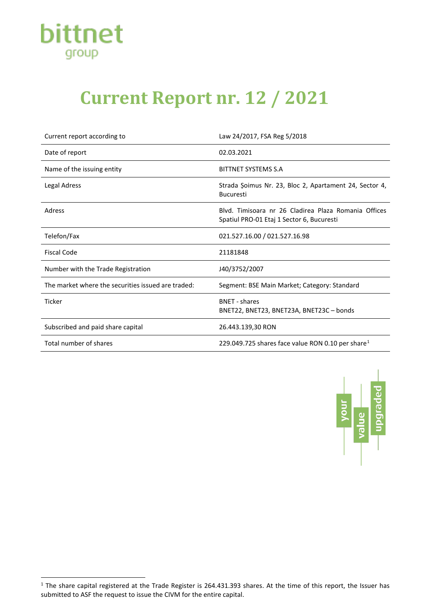

## **Current Report nr. 12 / 2021**

| Current report according to                        | Law 24/2017, FSA Reg 5/2018                                                                       |
|----------------------------------------------------|---------------------------------------------------------------------------------------------------|
| Date of report                                     | 02.03.2021                                                                                        |
| Name of the issuing entity                         | BITTNET SYSTEMS S.A                                                                               |
| <b>Legal Adress</b>                                | Strada Șoimus Nr. 23, Bloc 2, Apartament 24, Sector 4,<br><b>Bucuresti</b>                        |
| Adress                                             | Blyd. Timisoara nr 26 Cladirea Plaza Romania Offices<br>Spatiul PRO-01 Etaj 1 Sector 6, Bucuresti |
| Telefon/Fax                                        | 021.527.16.00 / 021.527.16.98                                                                     |
| <b>Fiscal Code</b>                                 | 21181848                                                                                          |
| Number with the Trade Registration                 | J40/3752/2007                                                                                     |
| The market where the securities issued are traded: | Segment: BSE Main Market; Category: Standard                                                      |
| <b>Ticker</b>                                      | <b>BNFT</b> - shares<br>BNET22, BNET23, BNET23A, BNET23C - bonds                                  |
| Subscribed and paid share capital                  | 26.443.139,30 RON                                                                                 |
| Total number of shares                             | 229.049.725 shares face value RON 0.10 per share <sup>1</sup>                                     |



<span id="page-0-0"></span> $1$  The share capital registered at the Trade Register is 264.431.393 shares. At the time of this report, the Issuer has submitted to ASF the request to issue the CIVM for the entire capital.